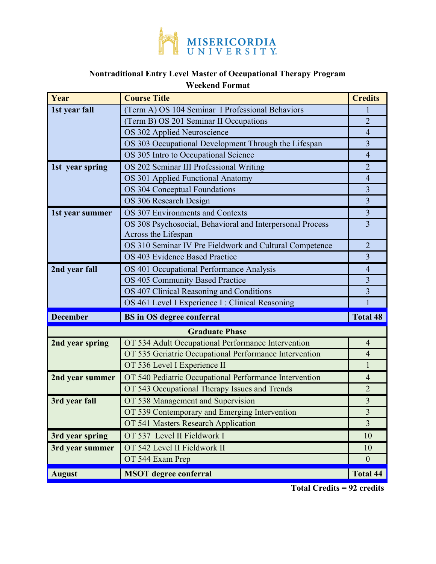

## **Nontraditional Entry Level Master of Occupational Therapy Program**

## **Weekend Format**

| Year                  | <b>Course Title</b>                                                              | <b>Credits</b>  |
|-----------------------|----------------------------------------------------------------------------------|-----------------|
| 1st year fall         | (Term A) OS 104 Seminar I Professional Behaviors                                 | ı               |
|                       | (Term B) OS 201 Seminar II Occupations                                           | $\overline{2}$  |
|                       | OS 302 Applied Neuroscience                                                      | $\overline{4}$  |
|                       | OS 303 Occupational Development Through the Lifespan                             | 3               |
|                       | OS 305 Intro to Occupational Science                                             | $\overline{4}$  |
| 1st year spring       | OS 202 Seminar III Professional Writing                                          | $\overline{2}$  |
|                       | OS 301 Applied Functional Anatomy                                                | $\overline{4}$  |
|                       | <b>OS 304 Conceptual Foundations</b>                                             | $\overline{3}$  |
|                       | OS 306 Research Design                                                           | $\overline{3}$  |
| 1st year summer       | OS 307 Environments and Contexts                                                 | 3               |
|                       | OS 308 Psychosocial, Behavioral and Interpersonal Process<br>Across the Lifespan | $\overline{3}$  |
|                       | OS 310 Seminar IV Pre Fieldwork and Cultural Competence                          | 2               |
|                       | OS 403 Evidence Based Practice                                                   | 3               |
| 2nd year fall         | OS 401 Occupational Performance Analysis                                         | $\overline{4}$  |
|                       | OS 405 Community Based Practice                                                  | 3               |
|                       | OS 407 Clinical Reasoning and Conditions                                         | $\overline{3}$  |
|                       | OS 461 Level I Experience I : Clinical Reasoning                                 | 1               |
| <b>December</b>       | <b>BS</b> in OS degree conferral                                                 | <b>Total 48</b> |
| <b>Graduate Phase</b> |                                                                                  |                 |
| 2nd year spring       | OT 534 Adult Occupational Performance Intervention                               | $\overline{4}$  |
|                       | OT 535 Geriatric Occupational Performance Intervention                           | $\overline{4}$  |
|                       | OT 536 Level I Experience II                                                     | 1               |
| 2nd year summer       | OT 540 Pediatric Occupational Performance Intervention                           | $\overline{4}$  |
|                       | OT 543 Occupational Therapy Issues and Trends                                    | $\overline{2}$  |
| 3rd year fall         | OT 538 Management and Supervision                                                | 3               |
|                       | OT 539 Contemporary and Emerging Intervention                                    | $\mathfrak{Z}$  |
|                       | OT 541 Masters Research Application                                              | $\overline{3}$  |
| 3rd year spring       | OT 537 Level II Fieldwork I                                                      | 10              |
| 3rd year summer       | OT 542 Level II Fieldwork II                                                     | 10              |
|                       | OT 544 Exam Prep                                                                 | $\theta$        |
| <b>August</b>         | <b>MSOT</b> degree conferral                                                     | <b>Total 44</b> |

**Total Credits = 92 credits**